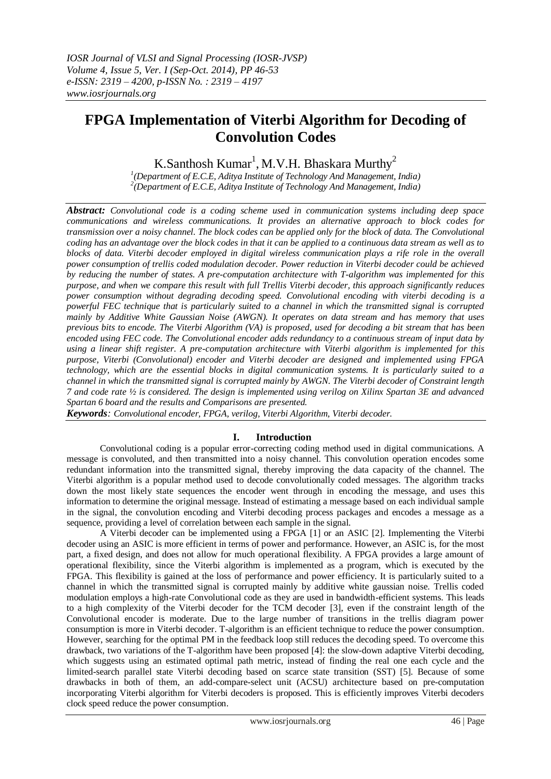# **FPGA Implementation of Viterbi Algorithm for Decoding of Convolution Codes**

K.Santhosh Kumar<sup>1</sup>, M.V.H. Bhaskara Murthy<sup>2</sup>

*1 (Department of E.C.E, Aditya Institute of Technology And Management, India) 2 (Department of E.C.E, Aditya Institute of Technology And Management, India)*

*Abstract: Convolutional code is a coding scheme used in communication systems including deep space communications and wireless communications. It provides an alternative approach to block codes for transmission over a noisy channel. The block codes can be applied only for the block of data. The Convolutional coding has an advantage over the block codes in that it can be applied to a continuous data stream as well as to blocks of data. Viterbi decoder employed in digital wireless communication plays a rife role in the overall power consumption of trellis coded modulation decoder. Power reduction in Viterbi decoder could be achieved by reducing the number of states. A pre-computation architecture with T-algorithm was implemented for this purpose, and when we compare this result with full Trellis Viterbi decoder, this approach significantly reduces power consumption without degrading decoding speed. Convolutional encoding with viterbi decoding is a powerful FEC technique that is particularly suited to a channel in which the transmitted signal is corrupted mainly by Additive White Gaussian Noise (AWGN). It operates on data stream and has memory that uses previous bits to encode. The Viterbi Algorithm (VA) is proposed, used for decoding a bit stream that has been encoded using FEC code. The Convolutional encoder adds redundancy to a continuous stream of input data by*  using a linear shift register. A pre-computation architecture with Viterbi algorithm is implemented for this *purpose, Viterbi (Convolutional) encoder and Viterbi decoder are designed and implemented using FPGA technology, which are the essential blocks in digital communication systems. It is particularly suited to a channel in which the transmitted signal is corrupted mainly by AWGN. The Viterbi decoder of Constraint length 7 and code rate ½ is considered. The design is implemented using verilog on Xilinx Spartan 3E and advanced Spartan 6 board and the results and Comparisons are presented.*

*Keywords: Convolutional encoder, FPGA, verilog, Viterbi Algorithm, Viterbi decoder.*

# **I. Introduction**

Convolutional coding is a popular error-correcting coding method used in digital communications. A message is convoluted, and then transmitted into a noisy channel. This convolution operation encodes some redundant information into the transmitted signal, thereby improving the data capacity of the channel. The Viterbi algorithm is a popular method used to decode convolutionally coded messages. The algorithm tracks down the most likely state sequences the encoder went through in encoding the message, and uses this information to determine the original message. Instead of estimating a message based on each individual sample in the signal, the convolution encoding and Viterbi decoding process packages and encodes a message as a sequence, providing a level of correlation between each sample in the signal.

A Viterbi decoder can be implemented using a FPGA [1] or an ASIC [2]. Implementing the Viterbi decoder using an ASIC is more efficient in terms of power and performance. However, an ASIC is, for the most part, a fixed design, and does not allow for much operational flexibility. A FPGA provides a large amount of operational flexibility, since the Viterbi algorithm is implemented as a program, which is executed by the FPGA. This flexibility is gained at the loss of performance and power efficiency. It is particularly suited to a channel in which the transmitted signal is corrupted mainly by additive white gaussian noise. Trellis coded modulation employs a high-rate Convolutional code as they are used in bandwidth-efficient systems. This leads to a high complexity of the Viterbi decoder for the TCM decoder [3], even if the constraint length of the Convolutional encoder is moderate. Due to the large number of transitions in the trellis diagram power consumption is more in Viterbi decoder. T-algorithm is an efficient technique to reduce the power consumption. However, searching for the optimal PM in the feedback loop still reduces the decoding speed. To overcome this drawback, two variations of the T-algorithm have been proposed [4]: the slow-down adaptive Viterbi decoding, which suggests using an estimated optimal path metric, instead of finding the real one each cycle and the limited-search parallel state Viterbi decoding based on scarce state transition (SST) [5]. Because of some drawbacks in both of them, an add-compare-select unit (ACSU) architecture based on pre-computation incorporating Viterbi algorithm for Viterbi decoders is proposed. This is efficiently improves Viterbi decoders clock speed reduce the power consumption.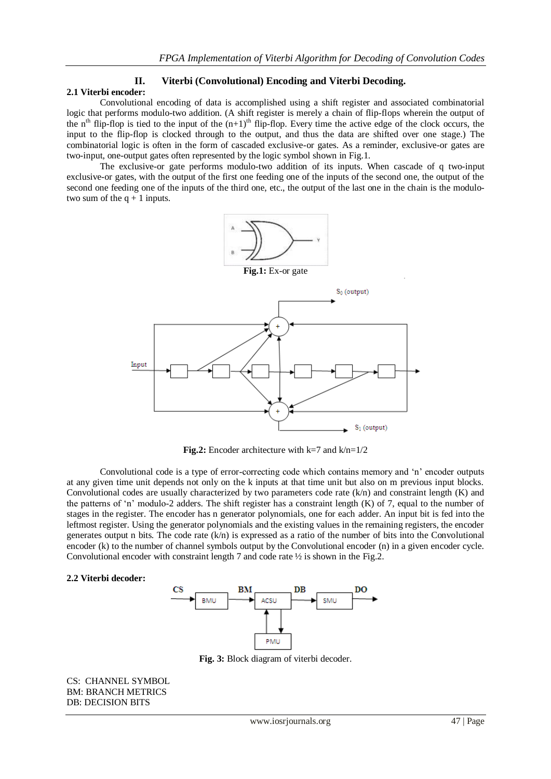### **II. Viterbi (Convolutional) Encoding and Viterbi Decoding. 2.1 Viterbi encoder:**

Convolutional encoding of data is accomplished using a shift register and associated combinatorial logic that performs modulo-two addition. (A shift register is merely a chain of flip-flops wherein the output of the n<sup>th</sup> flip-flop is tied to the input of the  $(n+1)$ <sup>th</sup> flip-flop. Every time the active edge of the clock occurs, the input to the flip-flop is clocked through to the output, and thus the data are shifted over one stage.) The combinatorial logic is often in the form of cascaded exclusive-or gates. As a reminder, exclusive-or gates are two-input, one-output gates often represented by the logic symbol shown in Fig.1.

The exclusive-or gate performs modulo-two addition of its inputs. When cascade of q two-input exclusive-or gates, with the output of the first one feeding one of the inputs of the second one, the output of the second one feeding one of the inputs of the third one, etc., the output of the last one in the chain is the modulotwo sum of the  $q + 1$  inputs.



**Fig.2:** Encoder architecture with k=7 and k/n=1/2

Convolutional code is a type of error-correcting code which contains memory and "n" encoder outputs at any given time unit depends not only on the k inputs at that time unit but also on m previous input blocks. Convolutional codes are usually characterized by two parameters code rate  $(k/n)$  and constraint length  $(K)$  and the patterns of 'n' modulo-2 adders. The shift register has a constraint length  $(K)$  of 7, equal to the number of stages in the register. The encoder has n generator polynomials, one for each adder. An input bit is fed into the leftmost register. Using the generator polynomials and the existing values in the remaining registers, the encoder generates output n bits. The code rate  $(k/n)$  is expressed as a ratio of the number of bits into the Convolutional encoder (k) to the number of channel symbols output by the Convolutional encoder (n) in a given encoder cycle. Convolutional encoder with constraint length 7 and code rate ½ is shown in the Fig.2.

#### **2.2 Viterbi decoder:**



**Fig. 3:** Block diagram of viterbi decoder.

CS: CHANNEL SYMBOL BM: BRANCH METRICS DB: DECISION BITS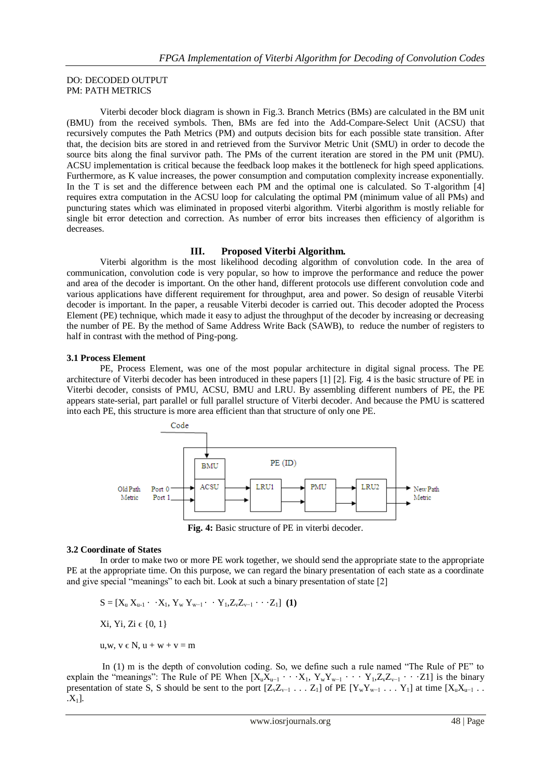### DO: DECODED OUTPUT PM: PATH METRICS

Viterbi decoder block diagram is shown in Fig.3. Branch Metrics (BMs) are calculated in the BM unit (BMU) from the received symbols. Then, BMs are fed into the Add-Compare-Select Unit (ACSU) that recursively computes the Path Metrics (PM) and outputs decision bits for each possible state transition. After that, the decision bits are stored in and retrieved from the Survivor Metric Unit (SMU) in order to decode the source bits along the final survivor path. The PMs of the current iteration are stored in the PM unit (PMU). ACSU implementation is critical because the feedback loop makes it the bottleneck for high speed applications. Furthermore, as K value increases, the power consumption and computation complexity increase exponentially. In the T is set and the difference between each PM and the optimal one is calculated. So T-algorithm [4] requires extra computation in the ACSU loop for calculating the optimal PM (minimum value of all PMs) and puncturing states which was eliminated in proposed viterbi algorithm. Viterbi algorithm is mostly reliable for single bit error detection and correction. As number of error bits increases then efficiency of algorithm is decreases.

# **III. Proposed Viterbi Algorithm.**

Viterbi algorithm is the most likelihood decoding algorithm of convolution code. In the area of communication, convolution code is very popular, so how to improve the performance and reduce the power and area of the decoder is important. On the other hand, different protocols use different convolution code and various applications have different requirement for throughput, area and power. So design of reusable Viterbi decoder is important. In the paper, a reusable Viterbi decoder is carried out. This decoder adopted the Process Element (PE) technique, which made it easy to adjust the throughput of the decoder by increasing or decreasing the number of PE. By the method of Same Address Write Back (SAWB), to reduce the number of registers to half in contrast with the method of Ping-pong.

#### **3.1 Process Element**

PE, Process Element, was one of the most popular architecture in digital signal process. The PE architecture of Viterbi decoder has been introduced in these papers [1] [2]. Fig. 4 is the basic structure of PE in Viterbi decoder, consists of PMU, ACSU, BMU and LRU. By assembling different numbers of PE, the PE appears state-serial, part parallel or full parallel structure of Viterbi decoder. And because the PMU is scattered into each PE, this structure is more area efficient than that structure of only one PE.



**Fig. 4:** Basic structure of PE in viterbi decoder.

# **3.2 Coordinate of States**

In order to make two or more PE work together, we should send the appropriate state to the appropriate PE at the appropriate time. On this purpose, we can regard the binary presentation of each state as a coordinate and give special "meanings" to each bit. Look at such a binary presentation of state [2]

 $S = [X_u X_{u-1} \cdot X_1, Y_w Y_{w-1} \cdot Y_1, Z_v Z_{v-1} \cdot Y_1]$  (1) Xi, Yi, Zi ∈  ${0, 1}$ u,w,  $v \in N$ ,  $u + w + v = m$ 

In (1) m is the depth of convolution coding. So, we define such a rule named "The Rule of PE" to explain the "meanings": The Rule of PE When  $[X_uX_{u-1} \cdots X_1, Y_wY_{w-1} \cdots Y_1, Z_vZ_{v-1} \cdots Z_1]$  is the binary presentation of state S, S should be sent to the port  $[Z_vZ_{v-1} \ldots Z_1]$  of PE  $[Y_wY_{w-1} \ldots Y_1]$  at time  $[X_vX_{u-1} \ldots Y_n]$  $[X_1]$ .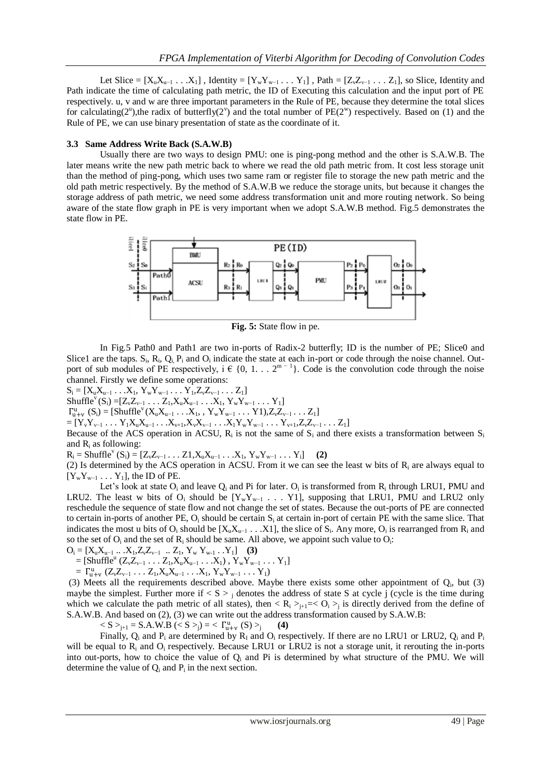Let Slice =  $[X_uX_{u-1} \ldots X_1]$ , Identity =  $[Y_wY_{w-1} \ldots Y_1]$ , Path =  $[Z_vZ_{v-1} \ldots Z_1]$ , so Slice, Identity and Path indicate the time of calculating path metric, the ID of Executing this calculation and the input port of PE respectively. u, v and w are three important parameters in the Rule of PE, because they determine the total slices for calculating( $2^{\nu}$ ),the radix of butterfly( $2^{\nu}$ ) and the total number of PE( $2^{\nu}$ ) respectively. Based on (1) and the Rule of PE, we can use binary presentation of state as the coordinate of it.

#### **3.3 Same Address Write Back (S.A.W.B)**

Usually there are two ways to design PMU: one is ping-pong method and the other is S.A.W.B. The later means write the new path metric back to where we read the old path metric from. It cost less storage unit than the method of ping-pong, which uses two same ram or register file to storage the new path metric and the old path metric respectively. By the method of S.A.W.B we reduce the storage units, but because it changes the storage address of path metric, we need some address transformation unit and more routing network. So being aware of the state flow graph in PE is very important when we adopt S.A.W.B method. Fig.5 demonstrates the state flow in PE.



**Fig. 5:** State flow in pe.

In Fig.5 Path0 and Path1 are two in-ports of Radix-2 butterfly; ID is the number of PE; Slice0 and Slice1 are the taps.  $S_i$ ,  $R_i$ ,  $Q_i$ ,  $P_i$  and  $O_i$  indicate the state at each in-port or code through the noise channel. Outport of sub modules of PE respectively,  $i \in \{0, 1, \ldots 2^{m-1}\}\$ . Code is the convolution code through the noise channel. Firstly we define some operations:

 $S_i = [X_u X_{u-1} \dots X_1, Y_w Y_{w-1} \dots Y_1, Z_v Z_{v-1} \dots Z_1]$ 

Shuffle<sup>v</sup>(S<sub>i</sub>) =[Z<sub>v</sub>Z<sub>v−1</sub> . . . Z<sub>1</sub>,X<sub>u</sub>X<sub>u−1</sub> . . .X<sub>1</sub>, Y<sub>w</sub>Y<sub>w−1</sub> . . . Y<sub>1</sub>]

 $\Gamma_{u+v}^{u}$  (S<sub>i</sub>) = [Shuffle<sup>v</sup>(X<sub>u</sub>X<sub>u-1</sub> . . .X<sub>1</sub>, , Y<sub>w</sub>Y<sub>w-1</sub> . . . Y1),Z<sub>v</sub>Z<sub>v-1</sub> . . . Z<sub>1</sub>]

 $=[Y_vY_{v-1} \ldots Y_1X_uX_{u-1} \ldots X_{v+1}, X_vX_{v-1} \ldots X_1Y_wY_{w-1} \ldots Y_{v+1}, Z_vZ_{v-1} \ldots Z_1]$ 

Because of the ACS operation in ACSU,  $R_i$  is not the same of  $S_i$  and there exists a transformation between  $S_i$ and  $R_i$  as following:

 $R_i = \text{Shuffle}^{\vee} (S_i) = [Z_{\vee}Z_{\vee-1} \dots Z1, X_u X_{u-1} \dots X_1, Y_w Y_{w-1} \dots Y_i]$  (2)

(2) Is determined by the ACS operation in ACSU. From it we can see the least w bits of  $R_i$  are always equal to  $[Y_wY_{w-1} \ldots Y_1]$ , the ID of PE.

Let's look at state  $O_i$  and leave  $Q_i$  and Pi for later.  $O_i$  is transformed from  $R_i$  through LRU1, PMU and LRU2. The least w bits of  $O_i$  should be  $[Y_wY_{w-1} \ldots Y1]$ , supposing that LRU1, PMU and LRU2 only reschedule the sequence of state flow and not change the set of states. Because the out-ports of PE are connected to certain in-ports of another PE,  $O_i$  should be certain  $S_i$  at certain in-port of certain PE with the same slice. That indicates the most u bits of  $O_i$  should be  $[X_u X_{u-1} \dots X1]$ , the slice of  $S_i$ . Any more,  $O_i$  is rearranged from  $R_i$  and so the set of  $O_i$  and the set of  $R_i$  should be same. All above, we appoint such value to  $O_i$ :

 $O_i = [X_u X_{u-1} ... X_1, Z_v Z_{v-1} ... Z_1, Y_w Y_{w-1} ... Y_1]$  (3)

 $=$  [Shuffle<sup>u</sup> (Z<sub>v</sub>Z<sub>v-1</sub> . . . Z<sub>1</sub>,X<sub>u</sub>X<sub>u-1</sub> . . . X<sub>1</sub>), Y<sub>w</sub>Y<sub>w-1</sub> . . . Y<sub>1</sub>]

$$
= \; \Gamma_{u+v}^u \; (Z_v Z_{v^{-1}} \ldots Z_1, X_u X_{u^{-1}} \ldots X_1, \, Y_w Y_{w^{-1}} \ldots Y_1)
$$

(3) Meets all the requirements described above. Maybe there exists some other appointment of  $Q_i$ , but (3) maybe the simplest. Further more if  $\langle S \rangle$  is denotes the address of state S at cycle j (cycle is the time during which we calculate the path metric of all states), then  $\langle R_i \rangle_{i=1} \leq O_i \rangle_i$  is directly derived from the define of S.A.W.B. And based on (2), (3) we can write out the address transformation caused by S.A.W.B:

 $< S >_{j+1} = S.A.W.B (< S >_{j}) = < \Gamma_{u+v}^{u} (S) >_{j}$ **(4)**

Finally,  $Q_i$  and  $P_i$  are determined by  $R_I$  and  $Q_i$  respectively. If there are no LRU1 or LRU2,  $Q_i$  and  $P_i$ will be equal to  $R_i$  and  $Q_i$  respectively. Because LRU1 or LRU2 is not a storage unit, it rerouting the in-ports into out-ports, how to choice the value of  $Q_i$  and Pi is determined by what structure of the PMU. We will determine the value of  $Q_i$  and  $P_i$  in the next section.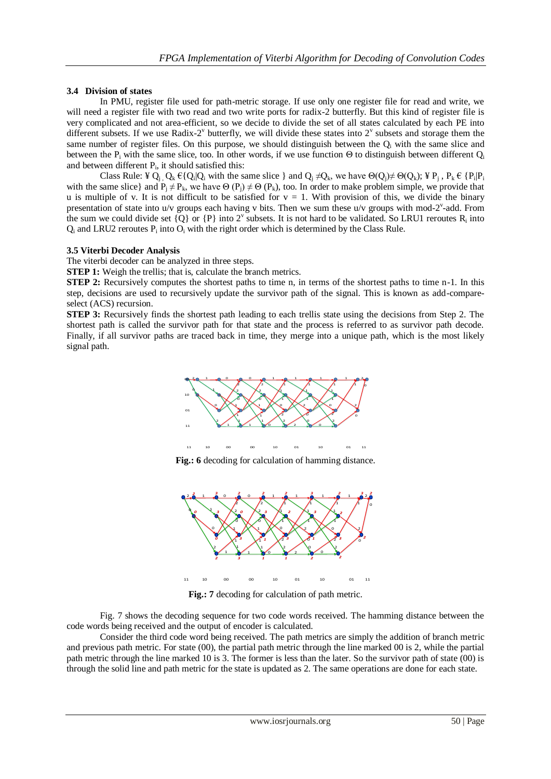# **3.4 Division of states**

In PMU, register file used for path-metric storage. If use only one register file for read and write, we will need a register file with two read and two write ports for radix-2 butterfly. But this kind of register file is very complicated and not area-efficient, so we decide to divide the set of all states calculated by each PE into different subsets. If we use Radix-2 $^{\circ}$  butterfly, we will divide these states into 2 $^{\circ}$  subsets and storage them the same number of register files. On this purpose, we should distinguish between the  $Q_i$  with the same slice and between the P<sub>i</sub> with the same slice, too. In other words, if we use function  $\Theta$  to distinguish between different  $Q_i$ and between different  $P_i$ , it should satisfied this:

Class Rule: ¥ Q<sub>j</sub>, Q<sub>k</sub>  $\in \{Q_i|Q_i \text{ with the same slice }\}$  and  $Q_j \neq Q_k$ , we have  $\Theta(Q_j) \neq \Theta(Q_k)$ ; ¥  $P_j$ ,  $P_k \in \{P_i|P_j\}$ with the same slice} and  $P_i \neq P_k$ , we have  $\Theta(P_i) \neq \Theta(P_k)$ , too. In order to make problem simple, we provide that u is multiple of v. It is not difficult to be satisfied for  $v = 1$ . With provision of this, we divide the binary presentation of state into  $u/v$  groups each having v bits. Then we sum these  $u/v$  groups with mod-2<sup>v</sup>-add. From the sum we could divide set  $\{Q\}$  or  $\{P\}$  into  $2^{\nu}$  subsets. It is not hard to be validated. So LRU1 reroutes  $R_i$  into  $Q_i$  and LRU2 reroutes  $P_i$  into  $O_i$  with the right order which is determined by the Class Rule.

# **3.5 Viterbi Decoder Analysis**

The viterbi decoder can be analyzed in three steps.

**STEP 1:** Weigh the trellis; that is, calculate the branch metrics.

**STEP 2:** Recursively computes the shortest paths to time n, in terms of the shortest paths to time n-1. In this step, decisions are used to recursively update the survivor path of the signal. This is known as add-compareselect (ACS) recursion.

**STEP 3:** Recursively finds the shortest path leading to each trellis state using the decisions from Step 2. The shortest path is called the survivor path for that state and the process is referred to as survivor path decode. Finally, if all survivor paths are traced back in time, they merge into a unique path, which is the most likely signal path.



Fig.: 6 decoding for calculation of hamming distance.



**Fig.:** 7 decoding for calculation of path metric.

Fig. 7 shows the decoding sequence for two code words received. The hamming distance between the code words being received and the output of encoder is calculated.

Consider the third code word being received. The path metrics are simply the addition of branch metric and previous path metric. For state (00), the partial path metric through the line marked 00 is 2, while the partial path metric through the line marked 10 is 3. The former is less than the later. So the survivor path of state (00) is through the solid line and path metric for the state is updated as 2. The same operations are done for each state.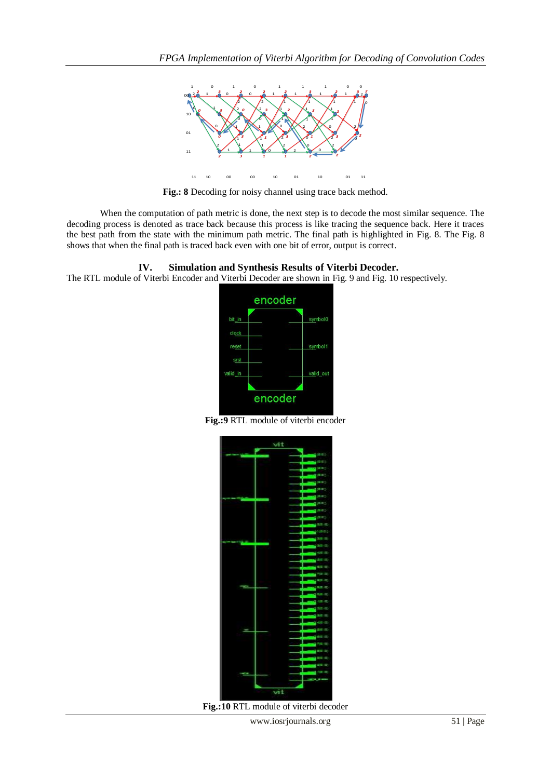

**Fig.: 8** Decoding for noisy channel using trace back method.

When the computation of path metric is done, the next step is to decode the most similar sequence. The decoding process is denoted as trace back because this process is like tracing the sequence back. Here it traces the best path from the state with the minimum path metric. The final path is highlighted in Fig. 8. The Fig. 8 shows that when the final path is traced back even with one bit of error, output is correct.

# **IV. Simulation and Synthesis Results of Viterbi Decoder.**

The RTL module of Viterbi Encoder and Viterbi Decoder are shown in Fig. 9 and Fig. 10 respectively.



**Fig.:9** RTL module of viterbi encoder



**Fig.:10** RTL module of viterbi decoder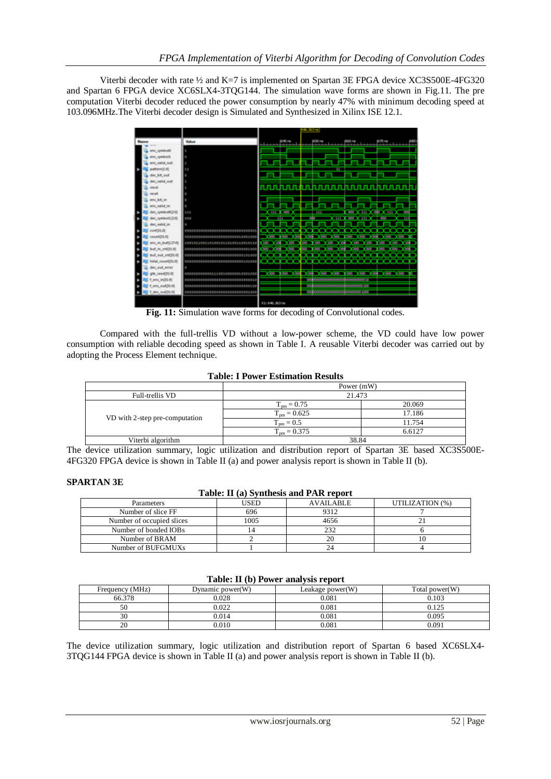Viterbi decoder with rate ½ and K=7 is implemented on Spartan 3E FPGA device XC3S500E-4FG320 and Spartan 6 FPGA device XC6SLX4-3TQG144. The simulation wave forms are shown in Fig.11. The pre computation Viterbi decoder reduced the power consumption by nearly 47% with minimum decoding speed at 103.096MHz.The Viterbi decoder design is Simulated and Synthesized in Xilinx ISE 12.1.



**Fig. 11:** Simulation wave forms for decoding of Convolutional codes.

Compared with the full-trellis VD without a low-power scheme, the VD could have low power consumption with reliable decoding speed as shown in Table I. A reusable Viterbi decoder was carried out by adopting the Process Element technique.

# **Table: I Power Estimation Results**

|                                | Power (mW)              |        |  |
|--------------------------------|-------------------------|--------|--|
| Full-trellis VD                | 21.473                  |        |  |
|                                | $T_{\text{pm}} = 0.75$  | 20.069 |  |
| VD with 2-step pre-computation | $T_{\text{pm}} = 0.625$ | 17.186 |  |
|                                | $T_{\text{pm}} = 0.5$   | 11.754 |  |
|                                | $T_{\text{nm}} = 0.375$ | 6.6127 |  |
| Viterbi algorithm              | 38.84                   |        |  |

The device utilization summary, logic utilization and distribution report of Spartan 3E based XC3S500E-4FG320 FPGA device is shown in Table II (a) and power analysis report is shown in Table II (b).

# **SPARTAN 3E**

#### **Table: II (a) Synthesis and PAR report**

| <b>Parameters</b>         | USED | AVAILABLE | UTILIZATION (%) |
|---------------------------|------|-----------|-----------------|
| Number of slice FF        | 696  | 9312      |                 |
| Number of occupied slices | 1005 | 4656      |                 |
| Number of bonded IOBs     |      | 232       |                 |
| Number of BRAM            |      | 20        |                 |
| Number of BUFGMUXs        |      |           |                 |

| Table: II (b) Power analysis report |                  |                     |                |
|-------------------------------------|------------------|---------------------|----------------|
| Frequency (MHz)                     | Dynamic power(W) | Leakage power $(W)$ | Total power(W) |
| 66.378                              | 0.028            | 0.081               | 0.103          |
| 50                                  | 0.022            | 0.081               |                |

30 0.014 0.081 0.085 20 0.010 0.010 0.081 0.091

The device utilization summary, logic utilization and distribution report of Spartan 6 based XC6SLX4- 3TQG144 FPGA device is shown in Table II (a) and power analysis report is shown in Table II (b).